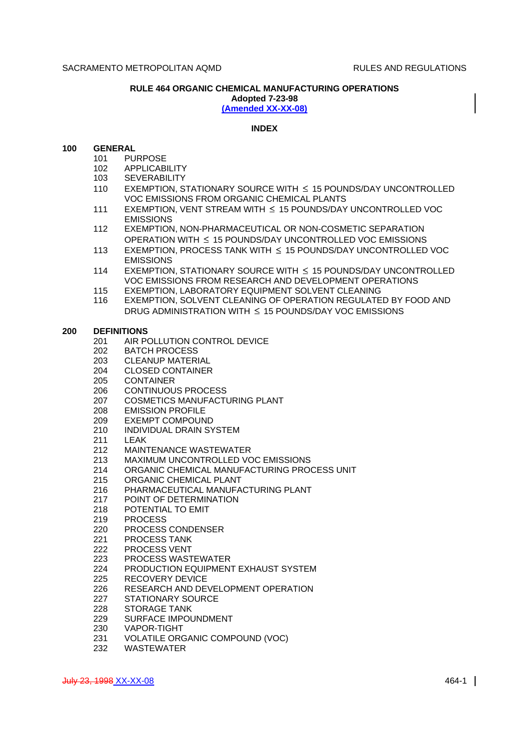# **RULE 464 ORGANIC CHEMICAL MANUFACTURING OPERATIONS**

**Adopted 7-23-98**

**(Amended XX-XX-08)**

# **INDEX**

# **100 GENERAL**

- 101 PURPOSE
- 102 APPLICABILITY
- 103 SEVERABILITY
- 110 EXEMPTION, STATIONARY SOURCE WITH  $\leq$  15 POUNDS/DAY UNCONTROLLED VOC EMISSIONS FROM ORGANIC CHEMICAL PLANTS
- 111 EXEMPTION, VENT STREAM WITH  $\leq$  15 POUNDS/DAY UNCONTROLLED VOC EMISSIONS
- 112 EXEMPTION, NON-PHARMACEUTICAL OR NON-COSMETIC SEPARATION OPERATION WITH  $\leq 15$  POUNDS/DAY UNCONTROLLED VOC EMISSIONS
- 113 EXEMPTION, PROCESS TANK WITH  $\leq$  15 POUNDS/DAY UNCONTROLLED VOC EMISSIONS
- 114 EXEMPTION, STATIONARY SOURCE WITH  $\leq$  15 POUNDS/DAY UNCONTROLLED VOC EMISSIONS FROM RESEARCH AND DEVELOPMENT OPERATIONS
- 115 EXEMPTION, LABORATORY EQUIPMENT SOLVENT CLEANING
- 116 EXEMPTION, SOLVENT CLEANING OF OPERATION REGULATED BY FOOD AND DRUG ADMINISTRATION WITH  $\leq$  15 POUNDS/DAY VOC EMISSIONS

# **200 DEFINITIONS**

- 201 AIR POLLUTION CONTROL DEVICE
- 202 BATCH PROCESS
- 203 CLEANUP MATERIAL<br>204 CLOSED CONTAINER
- **CLOSED CONTAINER**
- 205 CONTAINER
- 206 CONTINUOUS PROCESS
- 207 COSMETICS MANUFACTURING PLANT
- 208 EMISSION PROFILE
- 209 EXEMPT COMPOUND
- 210 INDIVIDUAL DRAIN SYSTEM
- 211 LEAK
- 212 MAINTENANCE WASTEWATER
- 213 MAXIMUM UNCONTROLLED VOC EMISSIONS
- 214 ORGANIC CHEMICAL MANUFACTURING PROCESS UNIT
- 215 ORGANIC CHEMICAL PLANT
- 216 PHARMACEUTICAL MANUFACTURING PLANT
- 217 POINT OF DETERMINATION
- 218 POTENTIAL TO EMIT
- 219 PROCESS
- 220 PROCESS CONDENSER
- 221 PROCESS TANK
- 222 PROCESS VENT
- 223 PROCESS WASTEWATER
- 224 PRODUCTION EQUIPMENT EXHAUST SYSTEM
- 225 RECOVERY DEVICE
- 226 RESEARCH AND DEVELOPMENT OPERATION
- 227 STATIONARY SOURCE
- 228 STORAGE TANK
- 229 SURFACE IMPOUNDMENT
- 230 VAPOR-TIGHT
- 231 VOLATILE ORGANIC COMPOUND (VOC)
- 232 WASTEWATER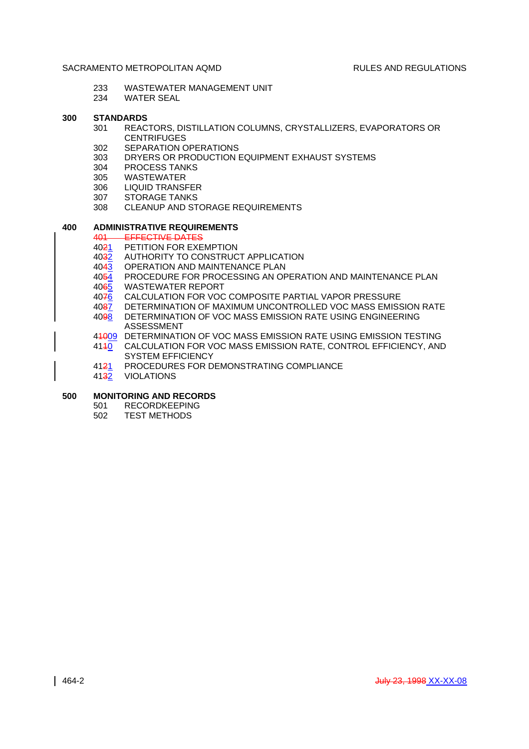- 233 WASTEWATER MANAGEMENT UNIT
- 234 WATER SEAL

## **300 STANDARDS**

- 301 REACTORS, DISTILLATION COLUMNS, CRYSTALLIZERS, EVAPORATORS OR **CENTRIFUGES**
- 302 SEPARATION OPERATIONS
- 303 DRYERS OR PRODUCTION EQUIPMENT EXHAUST SYSTEMS
- 304 PROCESS TANKS
- 305 WASTEWATER
- 306 LIQUID TRANSFER
- 307 STORAGE TANKS
- 308 CLEANUP AND STORAGE REQUIREMENTS

# **400 ADMINISTRATIVE REQUIREMENTS**

- 401 EFFECTIVE DATES
- 4021 PETITION FOR EXEMPTION
- 4032 AUTHORITY TO CONSTRUCT APPLICATION
- 4043 OPERATION AND MAINTENANCE PLAN
- 4054 PROCEDURE FOR PROCESSING AN OPERATION AND MAINTENANCE PLAN 4065 WASTEWATER REPORT
- 4076 CALCULATION FOR VOC COMPOSITE PARTIAL VAPOR PRESSURE
- 4087 DETERMINATION OF MAXIMUM UNCONTROLLED VOC MASS EMISSION RATE
- 4098 DETERMINATION OF VOC MASS EMISSION RATE USING ENGINEERING ASSESSMENT
- 41009 DETERMINATION OF VOC MASS EMISSION RATE USING EMISSION TESTING
- 4110 CALCULATION FOR VOC MASS EMISSION RATE, CONTROL EFFICIENCY, AND SYSTEM EFFICIENCY
- 4121 PROCEDURES FOR DEMONSTRATING COMPLIANCE
- 4132 VIOLATIONS

# **500 MONITORING AND RECORDS**

- 501 RECORDKEEPING
- 502 TEST METHODS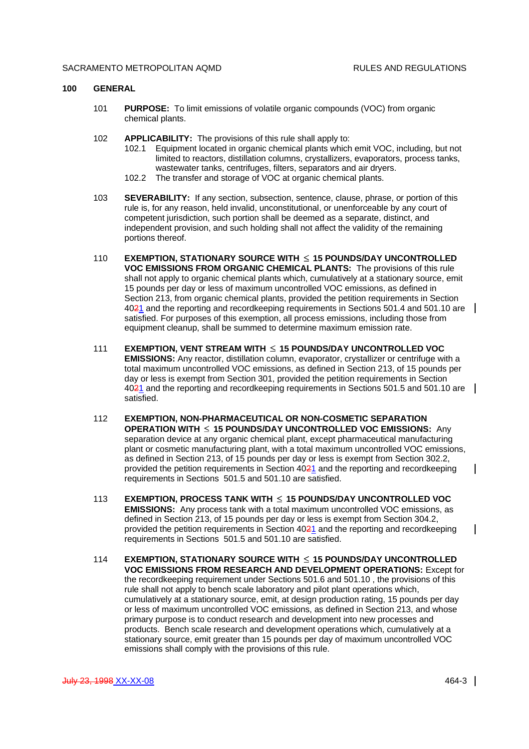#### **100 GENERAL**

- 101 **PURPOSE:** To limit emissions of volatile organic compounds (VOC) from organic chemical plants.
- 102 **APPLICABILITY:** The provisions of this rule shall apply to:
	- 102.1 Equipment located in organic chemical plants which emit VOC, including, but not limited to reactors, distillation columns, crystallizers, evaporators, process tanks, wastewater tanks, centrifuges, filters, separators and air dryers.
	- 102.2 The transfer and storage of VOC at organic chemical plants.
- 103 **SEVERABILITY:** If any section, subsection, sentence, clause, phrase, or portion of this rule is, for any reason, held invalid, unconstitutional, or unenforceable by any court of competent jurisdiction, such portion shall be deemed as a separate, distinct, and independent provision, and such holding shall not affect the validity of the remaining portions thereof.
- 110 **EXEMPTION, STATIONARY SOURCE WITH 15 POUNDS/DAY UNCONTROLLED VOC EMISSIONS FROM ORGANIC CHEMICAL PLANTS:** The provisions of this rule shall not apply to organic chemical plants which, cumulatively at a stationary source, emit 15 pounds per day or less of maximum uncontrolled VOC emissions, as defined in Section 213, from organic chemical plants, provided the petition requirements in Section 4021 and the reporting and recordkeeping requirements in Sections 501.4 and 501.10 are satisfied. For purposes of this exemption, all process emissions, including those from equipment cleanup, shall be summed to determine maximum emission rate.
- 111 **EXEMPTION, VENT STREAM WITH 15 POUNDS/DAY UNCONTROLLED VOC EMISSIONS:** Any reactor, distillation column, evaporator, crystallizer or centrifuge with a total maximum uncontrolled VOC emissions, as defined in Section 213, of 15 pounds per day or less is exempt from Section 301, provided the petition requirements in Section 4021 and the reporting and recordkeeping requirements in Sections 501.5 and 501.10 are satisfied.
- 112 **EXEMPTION, NON-PHARMACEUTICAL OR NON-COSMETIC SEPARATION OPERATION WITH 15 POUNDS/DAY UNCONTROLLED VOC EMISSIONS:** Any separation device at any organic chemical plant, except pharmaceutical manufacturing plant or cosmetic manufacturing plant, with a total maximum uncontrolled VOC emissions, as defined in Section 213, of 15 pounds per day or less is exempt from Section 302.2, provided the petition requirements in Section 4021 and the reporting and recordkeeping requirements in Sections 501.5 and 501.10 are satisfied.
- 113 **EXEMPTION, PROCESS TANK WITH 15 POUNDS/DAY UNCONTROLLED VOC EMISSIONS:** Any process tank with a total maximum uncontrolled VOC emissions, as defined in Section 213, of 15 pounds per day or less is exempt from Section 304.2, provided the petition requirements in Section 4021 and the reporting and recordkeeping requirements in Sections 501.5 and 501.10 are satisfied.
- 114 **EXEMPTION, STATIONARY SOURCE WITH 15 POUNDS/DAY UNCONTROLLED VOC EMISSIONS FROM RESEARCH AND DEVELOPMENT OPERATIONS:** Except for the recordkeeping requirement under Sections 501.6 and 501.10 , the provisions of this rule shall not apply to bench scale laboratory and pilot plant operations which, cumulatively at a stationary source, emit, at design production rating, 15 pounds per day or less of maximum uncontrolled VOC emissions, as defined in Section 213, and whose primary purpose is to conduct research and development into new processes and products. Bench scale research and development operations which, cumulatively at a stationary source, emit greater than 15 pounds per day of maximum uncontrolled VOC emissions shall comply with the provisions of this rule.

 $\mathsf{l}$ 

 $\mathbf{I}$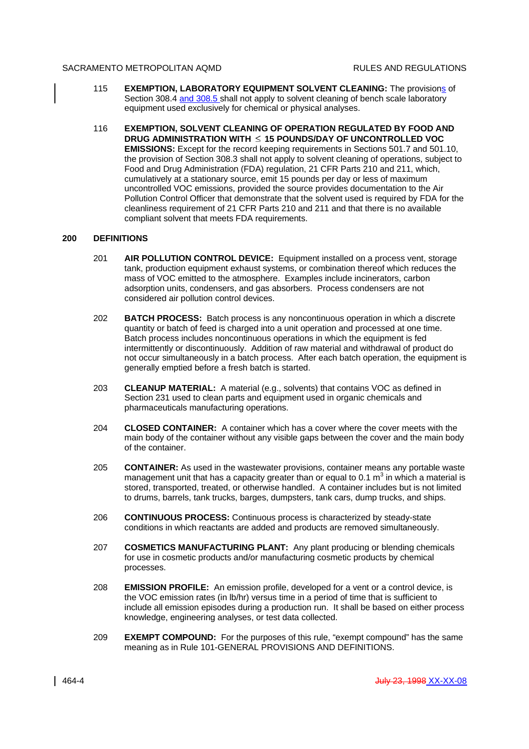- 115 **EXEMPTION, LABORATORY EQUIPMENT SOLVENT CLEANING:** The provisions of Section 308.4 and 308.5 shall not apply to solvent cleaning of bench scale laboratory equipment used exclusively for chemical or physical analyses.
- 116 **EXEMPTION, SOLVENT CLEANING OF OPERATION REGULATED BY FOOD AND DRUG ADMINISTRATION WITH 15 POUNDS/DAY OF UNCONTROLLED VOC EMISSIONS:** Except for the record keeping requirements in Sections 501.7 and 501.10, the provision of Section 308.3 shall not apply to solvent cleaning of operations, subject to Food and Drug Administration (FDA) regulation, 21 CFR Parts 210 and 211, which, cumulatively at a stationary source, emit 15 pounds per day or less of maximum uncontrolled VOC emissions, provided the source provides documentation to the Air Pollution Control Officer that demonstrate that the solvent used is required by FDA for the cleanliness requirement of 21 CFR Parts 210 and 211 and that there is no available compliant solvent that meets FDA requirements.

# **200 DEFINITIONS**

- 201 **AIR POLLUTION CONTROL DEVICE:** Equipment installed on a process vent, storage tank, production equipment exhaust systems, or combination thereof which reduces the mass of VOC emitted to the atmosphere. Examples include incinerators, carbon adsorption units, condensers, and gas absorbers. Process condensers are not considered air pollution control devices.
- 202 **BATCH PROCESS:** Batch process is any noncontinuous operation in which a discrete quantity or batch of feed is charged into a unit operation and processed at one time. Batch process includes noncontinuous operations in which the equipment is fed intermittently or discontinuously. Addition of raw material and withdrawal of product do not occur simultaneously in a batch process. After each batch operation, the equipment is generally emptied before a fresh batch is started.
- 203 **CLEANUP MATERIAL:** A material (e.g., solvents) that contains VOC as defined in Section 231 used to clean parts and equipment used in organic chemicals and pharmaceuticals manufacturing operations.
- 204 **CLOSED CONTAINER:** A container which has a cover where the cover meets with the main body of the container without any visible gaps between the cover and the main body of the container.
- 205 **CONTAINER:** As used in the wastewater provisions, container means any portable waste management unit that has a capacity greater than or equal to 0.1  $\textsf{m}^{3}$  in which a material is stored, transported, treated, or otherwise handled. A container includes but is not limited to drums, barrels, tank trucks, barges, dumpsters, tank cars, dump trucks, and ships.
- 206 **CONTINUOUS PROCESS:** Continuous process is characterized by steady-state conditions in which reactants are added and products are removed simultaneously.
- 207 **COSMETICS MANUFACTURING PLANT:** Any plant producing or blending chemicals for use in cosmetic products and/or manufacturing cosmetic products by chemical processes.
- 208 **EMISSION PROFILE:** An emission profile, developed for a vent or a control device, is the VOC emission rates (in lb/hr) versus time in a period of time that is sufficient to include all emission episodes during a production run. It shall be based on either process knowledge, engineering analyses, or test data collected.
- 209 **EXEMPT COMPOUND:** For the purposes of this rule, "exempt compound" has the same meaning as in Rule 101-GENERAL PROVISIONS AND DEFINITIONS.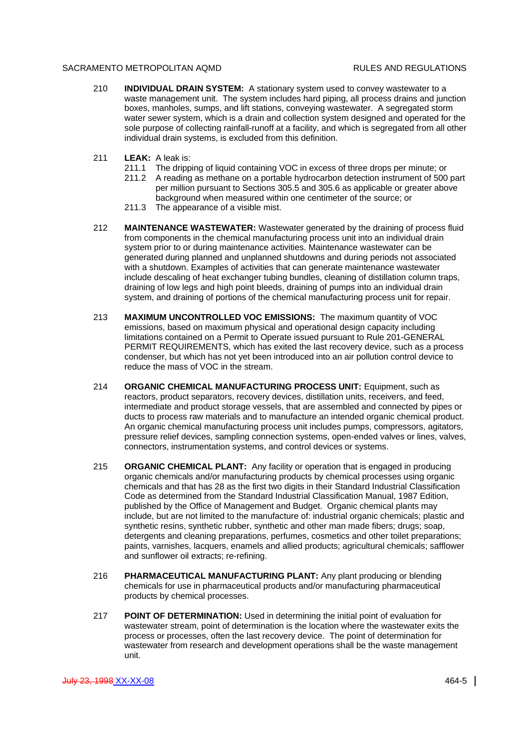- 210 **INDIVIDUAL DRAIN SYSTEM:** A stationary system used to convey wastewater to a waste management unit. The system includes hard piping, all process drains and junction boxes, manholes, sumps, and lift stations, conveying wastewater. A segregated storm water sewer system, which is a drain and collection system designed and operated for the sole purpose of collecting rainfall-runoff at a facility, and which is segregated from all other individual drain systems, is excluded from this definition.
- 211 **LEAK:** A leak is:
	- 211.1 The dripping of liquid containing VOC in excess of three drops per minute; or
	- 211.2 A reading as methane on a portable hydrocarbon detection instrument of 500 part per million pursuant to Sections 305.5 and 305.6 as applicable or greater above background when measured within one centimeter of the source; or
	- 211.3 The appearance of a visible mist.
- 212 **MAINTENANCE WASTEWATER:** Wastewater generated by the draining of process fluid from components in the chemical manufacturing process unit into an individual drain system prior to or during maintenance activities. Maintenance wastewater can be generated during planned and unplanned shutdowns and during periods not associated with a shutdown. Examples of activities that can generate maintenance wastewater include descaling of heat exchanger tubing bundles, cleaning of distillation column traps, draining of low legs and high point bleeds, draining of pumps into an individual drain system, and draining of portions of the chemical manufacturing process unit for repair.
- 213 **MAXIMUM UNCONTROLLED VOC EMISSIONS:** The maximum quantity of VOC emissions, based on maximum physical and operational design capacity including limitations contained on a Permit to Operate issued pursuant to Rule 201-GENERAL PERMIT REQUIREMENTS, which has exited the last recovery device, such as a process condenser, but which has not yet been introduced into an air pollution control device to reduce the mass of VOC in the stream.
- 214 **ORGANIC CHEMICAL MANUFACTURING PROCESS UNIT:** Equipment, such as reactors, product separators, recovery devices, distillation units, receivers, and feed, intermediate and product storage vessels, that are assembled and connected by pipes or ducts to process raw materials and to manufacture an intended organic chemical product. An organic chemical manufacturing process unit includes pumps, compressors, agitators, pressure relief devices, sampling connection systems, open-ended valves or lines, valves, connectors, instrumentation systems, and control devices or systems.
- 215 **ORGANIC CHEMICAL PLANT:** Any facility or operation that is engaged in producing organic chemicals and/or manufacturing products by chemical processes using organic chemicals and that has 28 as the first two digits in their Standard Industrial Classification Code as determined from the Standard Industrial Classification Manual, 1987 Edition, published by the Office of Management and Budget. Organic chemical plants may include, but are not limited to the manufacture of: industrial organic chemicals; plastic and synthetic resins, synthetic rubber, synthetic and other man made fibers; drugs; soap, detergents and cleaning preparations, perfumes, cosmetics and other toilet preparations; paints, varnishes, lacquers, enamels and allied products; agricultural chemicals; safflower and sunflower oil extracts; re-refining.
- 216 **PHARMACEUTICAL MANUFACTURING PLANT:** Any plant producing or blending chemicals for use in pharmaceutical products and/or manufacturing pharmaceutical products by chemical processes.
- 217 **POINT OF DETERMINATION:** Used in determining the initial point of evaluation for wastewater stream, point of determination is the location where the wastewater exits the process or processes, often the last recovery device. The point of determination for wastewater from research and development operations shall be the waste management unit.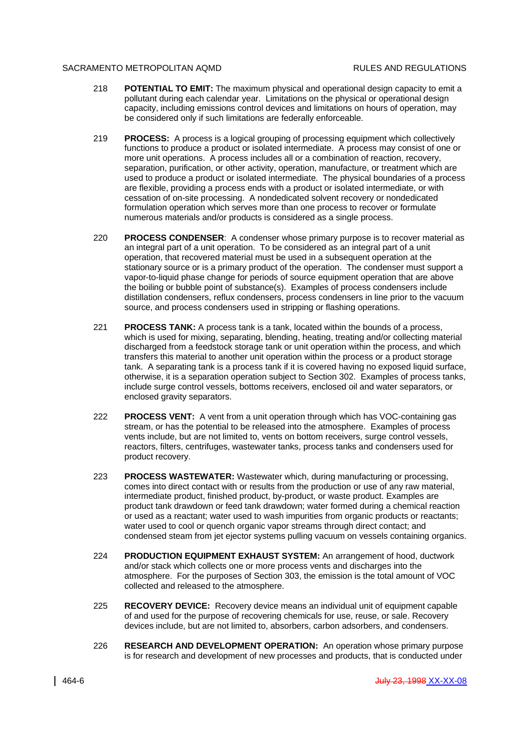- 218 **POTENTIAL TO EMIT:** The maximum physical and operational design capacity to emit a pollutant during each calendar year. Limitations on the physical or operational design capacity, including emissions control devices and limitations on hours of operation, may be considered only if such limitations are federally enforceable.
- 219 **PROCESS:** A process is a logical grouping of processing equipment which collectively functions to produce a product or isolated intermediate. A process may consist of one or more unit operations. A process includes all or a combination of reaction, recovery, separation, purification, or other activity, operation, manufacture, or treatment which are used to produce a product or isolated intermediate. The physical boundaries of a process are flexible, providing a process ends with a product or isolated intermediate, or with cessation of on-site processing. A nondedicated solvent recovery or nondedicated formulation operation which serves more than one process to recover or formulate numerous materials and/or products is considered as a single process.
- 220 **PROCESS CONDENSER**: A condenser whose primary purpose is to recover material as an integral part of a unit operation. To be considered as an integral part of a unit operation, that recovered material must be used in a subsequent operation at the stationary source or is a primary product of the operation. The condenser must support a vapor-to-liquid phase change for periods of source equipment operation that are above the boiling or bubble point of substance(s). Examples of process condensers include distillation condensers, reflux condensers, process condensers in line prior to the vacuum source, and process condensers used in stripping or flashing operations.
- 221 **PROCESS TANK:** A process tank is a tank, located within the bounds of a process, which is used for mixing, separating, blending, heating, treating and/or collecting material discharged from a feedstock storage tank or unit operation within the process, and which transfers this material to another unit operation within the process or a product storage tank. A separating tank is a process tank if it is covered having no exposed liquid surface, otherwise, it is a separation operation subject to Section 302. Examples of process tanks, include surge control vessels, bottoms receivers, enclosed oil and water separators, or enclosed gravity separators.
- 222 **PROCESS VENT:** A vent from a unit operation through which has VOC-containing gas stream, or has the potential to be released into the atmosphere. Examples of process vents include, but are not limited to, vents on bottom receivers, surge control vessels, reactors, filters, centrifuges, wastewater tanks, process tanks and condensers used for product recovery.
- 223 **PROCESS WASTEWATER:** Wastewater which, during manufacturing or processing, comes into direct contact with or results from the production or use of any raw material, intermediate product, finished product, by-product, or waste product. Examples are product tank drawdown or feed tank drawdown; water formed during a chemical reaction or used as a reactant; water used to wash impurities from organic products or reactants; water used to cool or quench organic vapor streams through direct contact; and condensed steam from jet ejector systems pulling vacuum on vessels containing organics.
- 224 **PRODUCTION EQUIPMENT EXHAUST SYSTEM:** An arrangement of hood, ductwork and/or stack which collects one or more process vents and discharges into the atmosphere. For the purposes of Section 303, the emission is the total amount of VOC collected and released to the atmosphere.
- 225 **RECOVERY DEVICE:** Recovery device means an individual unit of equipment capable of and used for the purpose of recovering chemicals for use, reuse, or sale. Recovery devices include, but are not limited to, absorbers, carbon adsorbers, and condensers.
- 226 **RESEARCH AND DEVELOPMENT OPERATION:** An operation whose primary purpose is for research and development of new processes and products, that is conducted under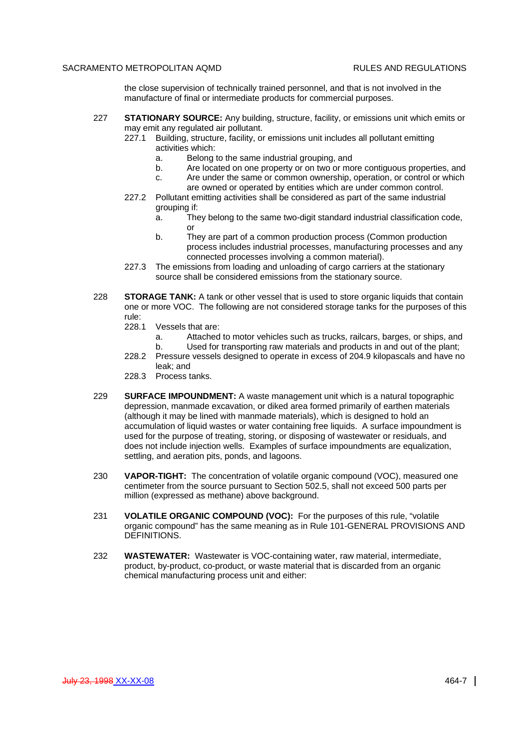the close supervision of technically trained personnel, and that is not involved in the manufacture of final or intermediate products for commercial purposes.

- 227 **STATIONARY SOURCE:** Any building, structure, facility, or emissions unit which emits or may emit any regulated air pollutant.
	- 227.1 Building, structure, facility, or emissions unit includes all pollutant emitting activities which:
		- a. Belong to the same industrial grouping, and
		- b. Are located on one property or on two or more contiguous properties, and
		- c. Are under the same or common ownership, operation, or control or which are owned or operated by entities which are under common control.
	- 227.2 Pollutant emitting activities shall be considered as part of the same industrial grouping if:
		- a. They belong to the same two-digit standard industrial classification code, or
		- b. They are part of a common production process (Common production process includes industrial processes, manufacturing processes and any connected processes involving a common material).
	- 227.3 The emissions from loading and unloading of cargo carriers at the stationary source shall be considered emissions from the stationary source.
- 228 **STORAGE TANK:** A tank or other vessel that is used to store organic liquids that contain one or more VOC. The following are not considered storage tanks for the purposes of this rule:
	- 228.1 Vessels that are:
		- a. Attached to motor vehicles such as trucks, railcars, barges, or ships, and b. Used for transporting raw materials and products in and out of the plant;
	- 228.2 Pressure vessels designed to operate in excess of 204.9 kilopascals and have no leak; and
	- 228.3 Process tanks.
- 229 **SURFACE IMPOUNDMENT:** A waste management unit which is a natural topographic depression, manmade excavation, or diked area formed primarily of earthen materials (although it may be lined with manmade materials), which is designed to hold an accumulation of liquid wastes or water containing free liquids. A surface impoundment is used for the purpose of treating, storing, or disposing of wastewater or residuals, and does not include injection wells. Examples of surface impoundments are equalization, settling, and aeration pits, ponds, and lagoons.
- 230 **VAPOR-TIGHT:** The concentration of volatile organic compound (VOC), measured one centimeter from the source pursuant to Section 502.5, shall not exceed 500 parts per million (expressed as methane) above background.
- 231 **VOLATILE ORGANIC COMPOUND (VOC):** For the purposes of this rule, "volatile organic compound" has the same meaning as in Rule 101-GENERAL PROVISIONS AND DEFINITIONS.
- 232 **WASTEWATER:** Wastewater is VOC-containing water, raw material, intermediate, product, by-product, co-product, or waste material that is discarded from an organic chemical manufacturing process unit and either: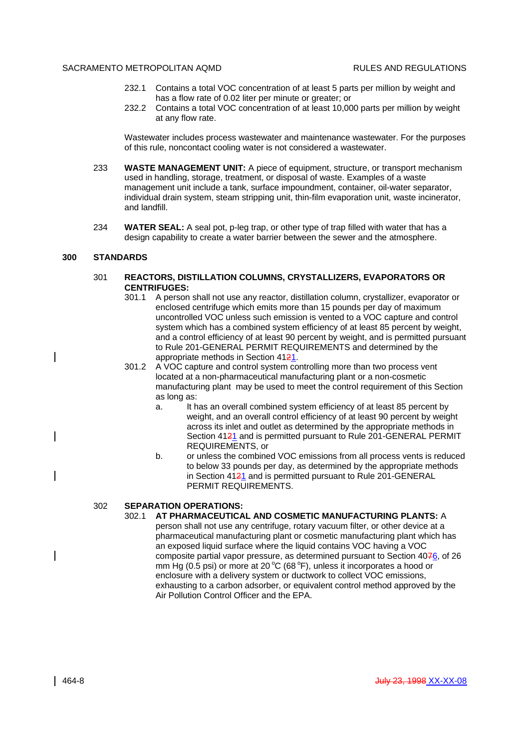- 232.1 Contains a total VOC concentration of at least 5 parts per million by weight and has a flow rate of 0.02 liter per minute or greater; or
- 232.2 Contains a total VOC concentration of at least 10,000 parts per million by weight at any flow rate.

Wastewater includes process wastewater and maintenance wastewater. For the purposes of this rule, noncontact cooling water is not considered a wastewater.

- 233 **WASTE MANAGEMENT UNIT:** A piece of equipment, structure, or transport mechanism used in handling, storage, treatment, or disposal of waste. Examples of a waste management unit include a tank, surface impoundment, container, oil-water separator, individual drain system, steam stripping unit, thin-film evaporation unit, waste incinerator, and landfill.
- 234 **WATER SEAL:** A seal pot, p-leg trap, or other type of trap filled with water that has a design capability to create a water barrier between the sewer and the atmosphere.

### **300 STANDARDS**

 $\overline{\phantom{a}}$ 

 $\overline{\phantom{a}}$ 

- 301 **REACTORS, DISTILLATION COLUMNS, CRYSTALLIZERS, EVAPORATORS OR CENTRIFUGES:**
	- 301.1 A person shall not use any reactor, distillation column, crystallizer, evaporator or enclosed centrifuge which emits more than 15 pounds per day of maximum uncontrolled VOC unless such emission is vented to a VOC capture and control system which has a combined system efficiency of at least 85 percent by weight, and a control efficiency of at least 90 percent by weight, and is permitted pursuant to Rule 201-GENERAL PERMIT REQUIREMENTS and determined by the appropriate methods in Section 4121.
	- 301.2 A VOC capture and control system controlling more than two process vent located at a non-pharmaceutical manufacturing plant or a non-cosmetic manufacturing plant may be used to meet the control requirement of this Section as long as:
		- a. It has an overall combined system efficiency of at least 85 percent by weight, and an overall control efficiency of at least 90 percent by weight across its inlet and outlet as determined by the appropriate methods in Section 4121 and is permitted pursuant to Rule 201-GENERAL PERMIT REQUIREMENTS, or
		- b. or unless the combined VOC emissions from all process vents is reduced to below 33 pounds per day, as determined by the appropriate methods in Section 4121 and is permitted pursuant to Rule 201-GENERAL PERMIT REQUIREMENTS.

# 302 **SEPARATION OPERATIONS:**

- 302.1 **AT PHARMACEUTICAL AND COSMETIC MANUFACTURING PLANTS:** A
	- person shall not use any centrifuge, rotary vacuum filter, or other device at a pharmaceutical manufacturing plant or cosmetic manufacturing plant which has an exposed liquid surface where the liquid contains VOC having a VOC composite partial vapor pressure, as determined pursuant to Section 4076, of 26 mm Hg (0.5 psi) or more at 20  $^{\circ}$ C (68  $^{\circ}$ F), unless it incorporates a hood or enclosure with a delivery system or ductwork to collect VOC emissions, exhausting to a carbon adsorber, or equivalent control method approved by the Air Pollution Control Officer and the EPA.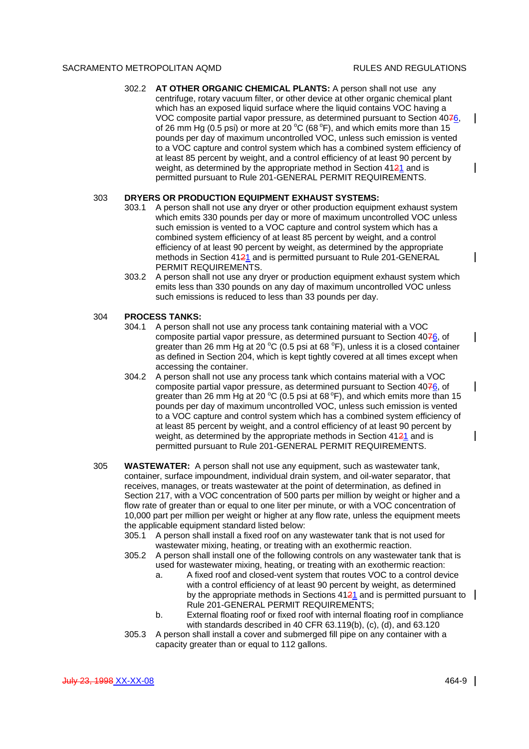$\mathbf{I}$ 

 $\mathbf l$ 

 $\mathsf{l}$ 

 $\overline{\phantom{a}}$ 

 $\mathsf{l}$ 

302.2 **AT OTHER ORGANIC CHEMICAL PLANTS:** A person shall not use any centrifuge, rotary vacuum filter, or other device at other organic chemical plant which has an exposed liquid surface where the liquid contains VOC having a VOC composite partial vapor pressure, as determined pursuant to Section 4076, of 26 mm Hg (0.5 psi) or more at 20 °C (68 °F), and which emits more than 15 pounds per day of maximum uncontrolled VOC, unless such emission is vented to a VOC capture and control system which has a combined system efficiency of at least 85 percent by weight, and a control efficiency of at least 90 percent by weight, as determined by the appropriate method in Section 4121 and is permitted pursuant to Rule 201-GENERAL PERMIT REQUIREMENTS.

## 303 **DRYERS OR PRODUCTION EQUIPMENT EXHAUST SYSTEMS:**

- 303.1 A person shall not use any dryer or other production equipment exhaust system which emits 330 pounds per day or more of maximum uncontrolled VOC unless such emission is vented to a VOC capture and control system which has a combined system efficiency of at least 85 percent by weight, and a control efficiency of at least 90 percent by weight, as determined by the appropriate methods in Section 4121 and is permitted pursuant to Rule 201-GENERAL PERMIT REQUIREMENTS.
- 303.2 A person shall not use any dryer or production equipment exhaust system which emits less than 330 pounds on any day of maximum uncontrolled VOC unless such emissions is reduced to less than 33 pounds per day.

#### 304 **PROCESS TANKS:**

- 304.1 A person shall not use any process tank containing material with a VOC composite partial vapor pressure, as determined pursuant to Section 4076, of greater than 26 mm Hg at 20  $\degree$ C (0.5 psi at 68  $\degree$ F), unless it is a closed container as defined in Section 204, which is kept tightly covered at all times except when accessing the container.
- 304.2 A person shall not use any process tank which contains material with a VOC composite partial vapor pressure, as determined pursuant to Section 4076, of greater than 26 mm Hg at 20  $^{\circ}$ C (0.5 psi at 68  $^{\circ}$ F), and which emits more than 15 pounds per day of maximum uncontrolled VOC, unless such emission is vented to a VOC capture and control system which has a combined system efficiency of at least 85 percent by weight, and a control efficiency of at least 90 percent by weight, as determined by the appropriate methods in Section 4121 and is permitted pursuant to Rule 201-GENERAL PERMIT REQUIREMENTS.
- 305 **WASTEWATER:** A person shall not use any equipment, such as wastewater tank, container, surface impoundment, individual drain system, and oil-water separator, that receives, manages, or treats wastewater at the point of determination, as defined in Section 217, with a VOC concentration of 500 parts per million by weight or higher and a flow rate of greater than or equal to one liter per minute, or with a VOC concentration of 10,000 part per million per weight or higher at any flow rate, unless the equipment meets the applicable equipment standard listed below:
	- 305.1 A person shall install a fixed roof on any wastewater tank that is not used for wastewater mixing, heating, or treating with an exothermic reaction.
	- 305.2 A person shall install one of the following controls on any wastewater tank that is used for wastewater mixing, heating, or treating with an exothermic reaction:
		- a. A fixed roof and closed-vent system that routes VOC to a control device with a control efficiency of at least 90 percent by weight, as determined by the appropriate methods in Sections  $4121$  and is permitted pursuant to Rule 201-GENERAL PERMIT REQUIREMENTS;
		- b. External floating roof or fixed roof with internal floating roof in compliance with standards described in 40 CFR 63.119(b), (c), (d), and 63.120
	- 305.3 A person shall install a cover and submerged fill pipe on any container with a capacity greater than or equal to 112 gallons.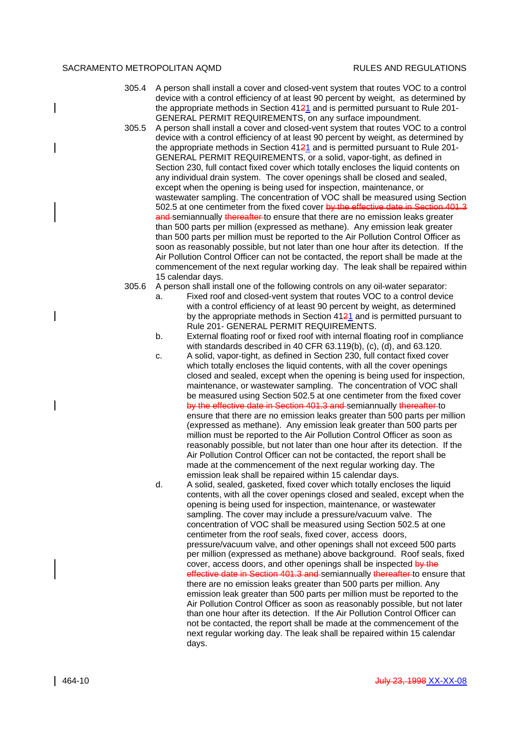- 305.4 A person shall install a cover and closed-vent system that routes VOC to a control device with a control efficiency of at least 90 percent by weight, as determined by the appropriate methods in Section  $4121$  and is permitted pursuant to Rule 201-GENERAL PERMIT REQUIREMENTS, on any surface impoundment.
- 305.5 A person shall install a cover and closed-vent system that routes VOC to a control device with a control efficiency of at least 90 percent by weight, as determined by the appropriate methods in Section  $4121$  and is permitted pursuant to Rule 201-GENERAL PERMIT REQUIREMENTS, or a solid, vapor-tight, as defined in Section 230, full contact fixed cover which totally encloses the liquid contents on any individual drain system. The cover openings shall be closed and sealed, except when the opening is being used for inspection, maintenance, or wastewater sampling. The concentration of VOC shall be measured using Section 502.5 at one centimeter from the fixed cover by the effective date in Section 401.3 and semiannually thereafter to ensure that there are no emission leaks greater than 500 parts per million (expressed as methane). Any emission leak greater than 500 parts per million must be reported to the Air Pollution Control Officer as soon as reasonably possible, but not later than one hour after its detection. If the Air Pollution Control Officer can not be contacted, the report shall be made at the commencement of the next regular working day. The leak shall be repaired within 15 calendar days.
- 305.6 A person shall install one of the following controls on any oil-water separator:
	- a. Fixed roof and closed-vent system that routes VOC to a control device with a control efficiency of at least 90 percent by weight, as determined by the appropriate methods in Section  $4121$  and is permitted pursuant to Rule 201- GENERAL PERMIT REQUIREMENTS.
	- b. External floating roof or fixed roof with internal floating roof in compliance with standards described in 40 CFR 63.119(b), (c), (d), and 63.120.
	- c. A solid, vapor-tight, as defined in Section 230, full contact fixed cover which totally encloses the liquid contents, with all the cover openings closed and sealed, except when the opening is being used for inspection, maintenance, or wastewater sampling. The concentration of VOC shall be measured using Section 502.5 at one centimeter from the fixed cover by the effective date in Section 401.3 and semiannually thereafter to ensure that there are no emission leaks greater than 500 parts per million (expressed as methane). Any emission leak greater than 500 parts per million must be reported to the Air Pollution Control Officer as soon as reasonably possible, but not later than one hour after its detection. If the Air Pollution Control Officer can not be contacted, the report shall be made at the commencement of the next regular working day. The emission leak shall be repaired within 15 calendar days.
	- d. A solid, sealed, gasketed, fixed cover which totally encloses the liquid contents, with all the cover openings closed and sealed, except when the opening is being used for inspection, maintenance, or wastewater sampling. The cover may include a pressure/vacuum valve. The concentration of VOC shall be measured using Section 502.5 at one centimeter from the roof seals, fixed cover, access doors, pressure/vacuum valve, and other openings shall not exceed 500 parts per million (expressed as methane) above background. Roof seals, fixed cover, access doors, and other openings shall be inspected by the effective date in Section 401.3 and semiannually thereafter to ensure that there are no emission leaks greater than 500 parts per million. Any emission leak greater than 500 parts per million must be reported to the Air Pollution Control Officer as soon as reasonably possible, but not later than one hour after its detection. If the Air Pollution Control Officer can not be contacted, the report shall be made at the commencement of the next regular working day. The leak shall be repaired within 15 calendar days.

 $\overline{\phantom{a}}$ 

 $\overline{\phantom{a}}$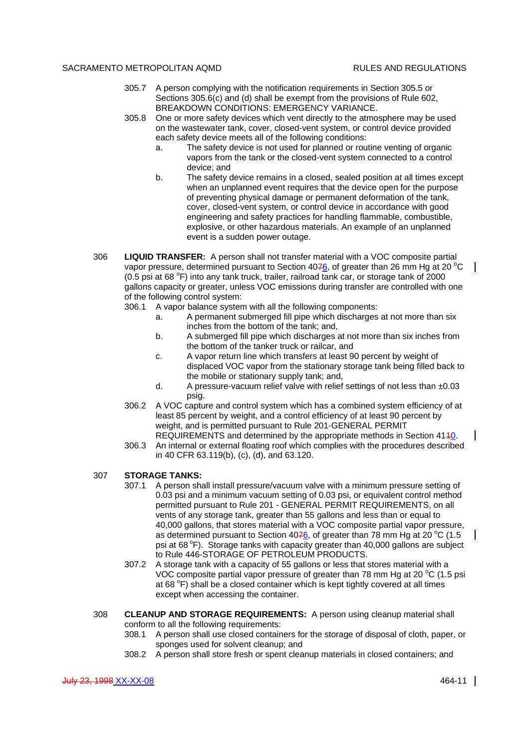- 305.7 A person complying with the notification requirements in Section 305.5 or Sections 305.6(c) and (d) shall be exempt from the provisions of Rule 602, BREAKDOWN CONDITIONS: EMERGENCY VARIANCE.
- 305.8 One or more safety devices which vent directly to the atmosphere may be used on the wastewater tank, cover, closed-vent system, or control device provided each safety device meets all of the following conditions:
	- a. The safety device is not used for planned or routine venting of organic vapors from the tank or the closed-vent system connected to a control device; and
	- b. The safety device remains in a closed, sealed position at all times except when an unplanned event requires that the device open for the purpose of preventing physical damage or permanent deformation of the tank, cover, closed-vent system, or control device in accordance with good engineering and safety practices for handling flammable, combustible, explosive, or other hazardous materials. An example of an unplanned event is a sudden power outage.
- 306 **LIQUID TRANSFER:** A person shall not transfer material with a VOC composite partial vapor pressure, determined pursuant to Section  $40\frac{76}{6}$ , of greater than 26 mm Hg at 20 °C (0.5 psi at 68  $\degree$ F) into any tank truck, trailer, railroad tank car, or storage tank of 2000 gallons capacity or greater, unless VOC emissions during transfer are controlled with one of the following control system:
	- 306.1 A vapor balance system with all the following components:
		- a. A permanent submerged fill pipe which discharges at not more than six inches from the bottom of the tank; and,
		- b. A submerged fill pipe which discharges at not more than six inches from the bottom of the tanker truck or railcar, and
		- c. A vapor return line which transfers at least 90 percent by weight of displaced VOC vapor from the stationary storage tank being filled back to the mobile or stationary supply tank; and,
		- d. A pressure-vacuum relief valve with relief settings of not less than  $\pm 0.03$ psig.
	- 306.2 A VOC capture and control system which has a combined system efficiency of at least 85 percent by weight, and a control efficiency of at least 90 percent by weight, and is permitted pursuant to Rule 201-GENERAL PERMIT REQUIREMENTS and determined by the appropriate methods in Section 4110.
	- 306.3 An internal or external floating roof which complies with the procedures described in 40 CFR 63.119(b), (c), (d), and 63.120.

### 307 **STORAGE TANKS:**

- 307.1 A person shall install pressure/vacuum valve with a minimum pressure setting of 0.03 psi and a minimum vacuum setting of 0.03 psi, or equivalent control method permitted pursuant to Rule 201 - GENERAL PERMIT REQUIREMENTS, on all vents of any storage tank, greater than 55 gallons and less than or equal to 40,000 gallons, that stores material with a VOC composite partial vapor pressure, as determined pursuant to Section 4076, of greater than 78 mm Hg at 20  $^{\circ}$ C (1.5 psi at  $68^{\circ}$ F). Storage tanks with capacity greater than 40,000 gallons are subject to Rule 446-STORAGE OF PETROLEUM PRODUCTS.
- 307.2 A storage tank with a capacity of 55 gallons or less that stores material with a VOC composite partial vapor pressure of greater than 78 mm Hg at 20  $\degree$ C (1.5 psi at 68 °F) shall be a closed container which is kept tightly covered at all times except when accessing the container.
- 308 **CLEANUP AND STORAGE REQUIREMENTS:** A person using cleanup material shall conform to all the following requirements:
	- 308.1 A person shall use closed containers for the storage of disposal of cloth, paper, or sponges used for solvent cleanup; and
	- 308.2 A person shall store fresh or spent cleanup materials in closed containers; and

 $\mathbf{I}$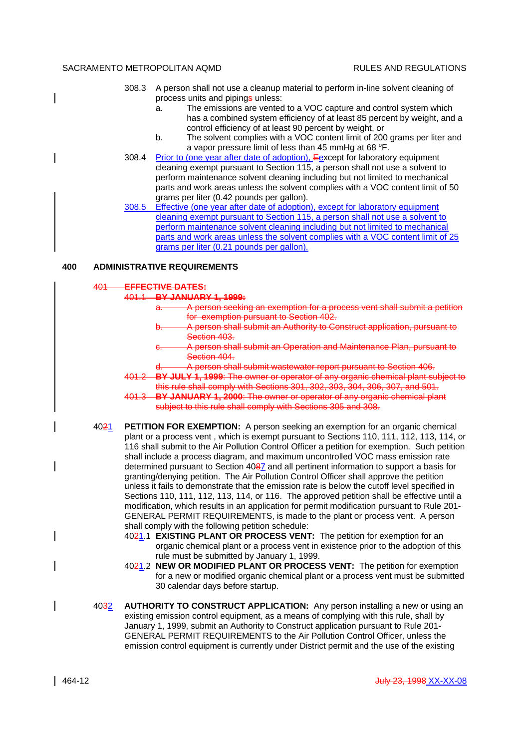|     | 308.3                              | A person shall not use a cleanup material to perform in-line solvent cleaning of<br>process units and pipings unless: |  |  |
|-----|------------------------------------|-----------------------------------------------------------------------------------------------------------------------|--|--|
|     |                                    | The emissions are vented to a VOC capture and control system which<br>a.                                              |  |  |
|     |                                    | has a combined system efficiency of at least 85 percent by weight, and a                                              |  |  |
|     |                                    | control efficiency of at least 90 percent by weight, or                                                               |  |  |
|     |                                    | The solvent complies with a VOC content limit of 200 grams per liter and<br>b.                                        |  |  |
|     |                                    | a vapor pressure limit of less than 45 mmHg at 68 °F.                                                                 |  |  |
|     | 308.4                              | Prior to (one year after date of adoption), Eexcept for laboratory equipment                                          |  |  |
|     |                                    | cleaning exempt pursuant to Section 115, a person shall not use a solvent to                                          |  |  |
|     |                                    | perform maintenance solvent cleaning including but not limited to mechanical                                          |  |  |
|     |                                    | parts and work areas unless the solvent complies with a VOC content limit of 50                                       |  |  |
|     |                                    | grams per liter (0.42 pounds per gallon).                                                                             |  |  |
|     | 308.5                              | Effective (one year after date of adoption), except for laboratory equipment                                          |  |  |
|     |                                    | cleaning exempt pursuant to Section 115, a person shall not use a solvent to                                          |  |  |
|     |                                    | perform maintenance solvent cleaning including but not limited to mechanical                                          |  |  |
|     |                                    | parts and work areas unless the solvent complies with a VOC content limit of 25                                       |  |  |
|     |                                    | grams per liter (0.21 pounds per gallon).                                                                             |  |  |
| 400 | <b>ADMINISTRATIVE REQUIREMENTS</b> |                                                                                                                       |  |  |
|     | EFFECTIVE DATES:<br>401            |                                                                                                                       |  |  |
|     | 401.1                              | <b>BY JANUARY 1, 1999:</b>                                                                                            |  |  |
|     |                                    | A person seeking an exemption for a process vent shall submit a petition                                              |  |  |
|     |                                    | for exemption pursuant to Section 402.                                                                                |  |  |
|     |                                    | A person shall submit an Authority to Construct application, pursuant to<br>b.                                        |  |  |

- Section 403. c. A person shall submit an Operation and Maintenance Plan, pursuant to Section 404.
- d. A person shall submit wastewater report pursuant to Section 406.
- 401.2 **BY JULY 1, 1999**: The owner or operator of any organic chemical plant subject to this rule shall comply with Sections 301, 302, 303, 304, 306, 307, and 501.
- 401.3 **BY JANUARY 1, 2000**: The owner or operator of any organic chemical plant subject to this rule shall comply with Sections 305 and 308.
- 4021 **PETITION FOR EXEMPTION:** A person seeking an exemption for an organic chemical plant or a process vent , which is exempt pursuant to Sections 110, 111, 112, 113, 114, or 116 shall submit to the Air Pollution Control Officer a petition for exemption. Such petition shall include a process diagram, and maximum uncontrolled VOC mass emission rate determined pursuant to Section 4087 and all pertinent information to support a basis for granting/denying petition. The Air Pollution Control Officer shall approve the petition unless it fails to demonstrate that the emission rate is below the cutoff level specified in Sections 110, 111, 112, 113, 114, or 116. The approved petition shall be effective until a modification, which results in an application for permit modification pursuant to Rule 201- GENERAL PERMIT REQUIREMENTS, is made to the plant or process vent. A person shall comply with the following petition schedule:
	- 4021.1 **EXISTING PLANT OR PROCESS VENT:** The petition for exemption for an organic chemical plant or a process vent in existence prior to the adoption of this rule must be submitted by January 1, 1999.
	- 4021.2 **NEW OR MODIFIED PLANT OR PROCESS VENT:** The petition for exemption for a new or modified organic chemical plant or a process vent must be submitted 30 calendar days before startup.
- 4032 **AUTHORITY TO CONSTRUCT APPLICATION:** Any person installing a new or using an existing emission control equipment, as a means of complying with this rule, shall by January 1, 1999, submit an Authority to Construct application pursuant to Rule 201- GENERAL PERMIT REQUIREMENTS to the Air Pollution Control Officer, unless the emission control equipment is currently under District permit and the use of the existing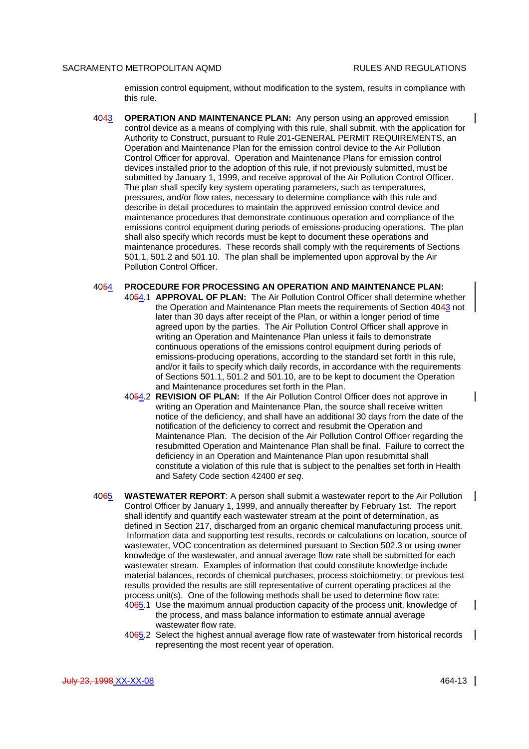emission control equipment, without modification to the system, results in compliance with this rule.

- 4043 **OPERATION AND MAINTENANCE PLAN:** Any person using an approved emission control device as a means of complying with this rule, shall submit, with the application for Authority to Construct, pursuant to Rule 201-GENERAL PERMIT REQUIREMENTS, an Operation and Maintenance Plan for the emission control device to the Air Pollution Control Officer for approval. Operation and Maintenance Plans for emission control devices installed prior to the adoption of this rule, if not previously submitted, must be submitted by January 1, 1999, and receive approval of the Air Pollution Control Officer. The plan shall specify key system operating parameters, such as temperatures, pressures, and/or flow rates, necessary to determine compliance with this rule and describe in detail procedures to maintain the approved emission control device and maintenance procedures that demonstrate continuous operation and compliance of the emissions control equipment during periods of emissions-producing operations. The plan shall also specify which records must be kept to document these operations and maintenance procedures. These records shall comply with the requirements of Sections 501.1, 501.2 and 501.10. The plan shall be implemented upon approval by the Air Pollution Control Officer.
- 4054 **PROCEDURE FOR PROCESSING AN OPERATION AND MAINTENANCE PLAN:** 4054.1 **APPROVAL OF PLAN:** The Air Pollution Control Officer shall determine whether the Operation and Maintenance Plan meets the requirements of Section 4043 not later than 30 days after receipt of the Plan, or within a longer period of time agreed upon by the parties. The Air Pollution Control Officer shall approve in writing an Operation and Maintenance Plan unless it fails to demonstrate continuous operations of the emissions control equipment during periods of emissions-producing operations, according to the standard set forth in this rule, and/or it fails to specify which daily records, in accordance with the requirements of Sections 501.1, 501.2 and 501.10, are to be kept to document the Operation and Maintenance procedures set forth in the Plan.
	- 4054.2 **REVISION OF PLAN:** If the Air Pollution Control Officer does not approve in writing an Operation and Maintenance Plan, the source shall receive written notice of the deficiency, and shall have an additional 30 days from the date of the notification of the deficiency to correct and resubmit the Operation and Maintenance Plan. The decision of the Air Pollution Control Officer regarding the resubmitted Operation and Maintenance Plan shall be final. Failure to correct the deficiency in an Operation and Maintenance Plan upon resubmittal shall constitute a violation of this rule that is subject to the penalties set forth in Health and Safety Code section 42400 *et seq*.
- 4065 **WASTEWATER REPORT**: A person shall submit a wastewater report to the Air Pollution Control Officer by January 1, 1999, and annually thereafter by February 1st. The report shall identify and quantify each wastewater stream at the point of determination, as defined in Section 217, discharged from an organic chemical manufacturing process unit. Information data and supporting test results, records or calculations on location, source of wastewater, VOC concentration as determined pursuant to Section 502.3 or using owner knowledge of the wastewater, and annual average flow rate shall be submitted for each wastewater stream. Examples of information that could constitute knowledge include material balances, records of chemical purchases, process stoichiometry, or previous test results provided the results are still representative of current operating practices at the process unit(s). One of the following methods shall be used to determine flow rate:
	- 4065.1 Use the maximum annual production capacity of the process unit, knowledge of the process, and mass balance information to estimate annual average wastewater flow rate.
	- 4065.2 Select the highest annual average flow rate of wastewater from historical records representing the most recent year of operation.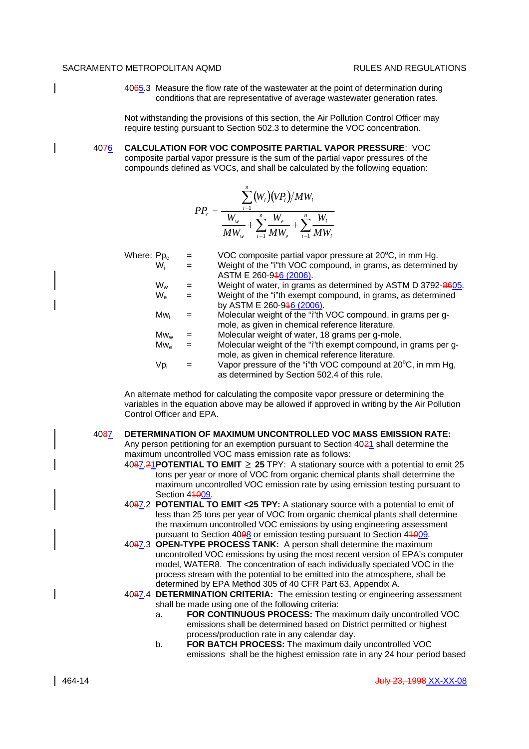4065.3 Measure the flow rate of the wastewater at the point of determination during conditions that are representative of average wastewater generation rates.

Not withstanding the provisions of this section, the Air Pollution Control Officer may require testing pursuant to Section 502.3 to determine the VOC concentration.

4076 **CALCULATION FOR VOC COMPOSITE PARTIAL VAPOR PRESSURE**: VOC composite partial vapor pressure is the sum of the partial vapor pressures of the compounds defined as VOCs, and shall be calculated by the following equation:

$$
PP_c = \frac{\sum_{i=1}^{n} (W_i)(VP_i)/MW_i}{W_w} + \sum_{i=1}^{n} \frac{W_e}{MW_e} + \sum_{i=1}^{n} \frac{W_i}{MW_i}
$$

| Where: Pp <sub>c</sub>   |     | VOC composite partial vapor pressure at 20°C, in mm Hg.        |
|--------------------------|-----|----------------------------------------------------------------|
| W.                       | $=$ | Weight of the "i"th VOC compound, in grams, as determined by   |
|                          |     | ASTM E 260-946 (2006).                                         |
| W <sub>w</sub>           |     | Weight of water, in grams as determined by ASTM D 3792-8605.   |
| $W_{\rm e}$              | $=$ | Weight of the "i"th exempt compound, in grams, as determined   |
|                          |     | by ASTM E 260-946 (2006).                                      |
| Mw <sub>i</sub>          |     | Molecular weight of the "i"th VOC compound, in grams per g-    |
|                          |     | mole, as given in chemical reference literature.               |
| $Mw_w$                   |     | Molecular weight of water, 18 grams per g-mole.                |
| $\mathsf{Mw}_\mathsf{e}$ |     | Molecular weight of the "i"th exempt compound, in grams per g- |
|                          |     | mole, as given in chemical reference literature.               |
| Vpi                      |     | Vapor pressure of the "i"th VOC compound at 20°C, in mm Hg,    |
|                          |     | as determined by Section 502.4 of this rule.                   |

An alternate method for calculating the composite vapor pressure or determining the variables in the equation above may be allowed if approved in writing by the Air Pollution Control Officer and EPA.

#### 4087 **DETERMINATION OF MAXIMUM UNCONTROLLED VOC MASS EMISSION RATE:**

Any person petitioning for an exemption pursuant to Section 4021 shall determine the maximum uncontrolled VOC mass emission rate as follows:

- 4087.21**POTENTIAL TO EMIT 25** TPY: A stationary source with a potential to emit 25 tons per year or more of VOC from organic chemical plants shall determine the maximum uncontrolled VOC emission rate by using emission testing pursuant to Section 44009
- 4087.2 **POTENTIAL TO EMIT <25 TPY:** A stationary source with a potential to emit of less than 25 tons per year of VOC from organic chemical plants shall determine the maximum uncontrolled VOC emissions by using engineering assessment pursuant to Section 4098 or emission testing pursuant to Section 44009.
- 4087.3 **OPEN-TYPE PROCESS TANK:** A person shall determine the maximum uncontrolled VOC emissions by using the most recent version of EPA's computer model, WATER8. The concentration of each individually speciated VOC in the process stream with the potential to be emitted into the atmosphere, shall be determined by EPA Method 305 of 40 CFR Part 63, Appendix A.
- 4087.4 **DETERMINATION CRITERIA:** The emission testing or engineering assessment shall be made using one of the following criteria:
	- a. **FOR CONTINUOUS PROCESS:** The maximum daily uncontrolled VOC emissions shall be determined based on District permitted or highest process/production rate in any calendar day.
	- b. **FOR BATCH PROCESS:** The maximum daily uncontrolled VOC emissions shall be the highest emission rate in any 24 hour period based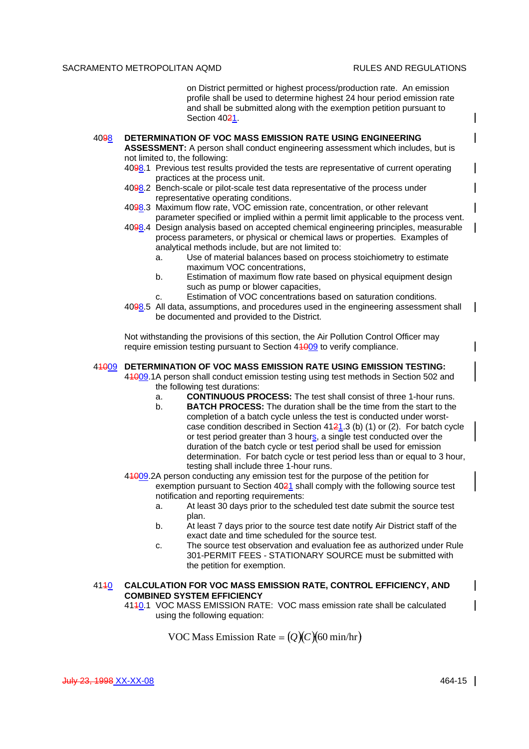on District permitted or highest process/production rate. An emission profile shall be used to determine highest 24 hour period emission rate and shall be submitted along with the exemption petition pursuant to Section 4021.

# 4098 **DETERMINATION OF VOC MASS EMISSION RATE USING ENGINEERING**

**ASSESSMENT:** A person shall conduct engineering assessment which includes, but is not limited to, the following:

- 4098.1 Previous test results provided the tests are representative of current operating practices at the process unit.
- 4098.2 Bench-scale or pilot-scale test data representative of the process under representative operating conditions.
- 4098.3 Maximum flow rate, VOC emission rate, concentration, or other relevant parameter specified or implied within a permit limit applicable to the process vent.
- 4098.4 Design analysis based on accepted chemical engineering principles, measurable process parameters, or physical or chemical laws or properties. Examples of analytical methods include, but are not limited to:
	- a. Use of material balances based on process stoichiometry to estimate maximum VOC concentrations,
	- b. Estimation of maximum flow rate based on physical equipment design such as pump or blower capacities,
	- c. Estimation of VOC concentrations based on saturation conditions.
- 4098.5 All data, assumptions, and procedures used in the engineering assessment shall be documented and provided to the District.

Not withstanding the provisions of this section, the Air Pollution Control Officer may require emission testing pursuant to Section 44009 to verify compliance.

#### 41009 **DETERMINATION OF VOC MASS EMISSION RATE USING EMISSION TESTING:**

41009.1A person shall conduct emission testing using test methods in Section 502 and the following test durations:

- a. **CONTINUOUS PROCESS:** The test shall consist of three 1-hour runs.
- b. **BATCH PROCESS:** The duration shall be the time from the start to the completion of a batch cycle unless the test is conducted under worstcase condition described in Section  $4121.3$  (b) (1) or (2). For batch cycle or test period greater than 3 hours, a single test conducted over the duration of the batch cycle or test period shall be used for emission determination. For batch cycle or test period less than or equal to 3 hour, testing shall include three 1-hour runs.
- 41009.2A person conducting any emission test for the purpose of the petition for exemption pursuant to Section 4021 shall comply with the following source test notification and reporting requirements:
	- a. At least 30 days prior to the scheduled test date submit the source test plan.
	- b. At least 7 days prior to the source test date notify Air District staff of the exact date and time scheduled for the source test.
	- c. The source test observation and evaluation fee as authorized under Rule 301-PERMIT FEES - STATIONARY SOURCE must be submitted with the petition for exemption.

# 4110 **CALCULATION FOR VOC MASS EMISSION RATE, CONTROL EFFICIENCY, AND COMBINED SYSTEM EFFICIENCY**

4110.1 VOC MASS EMISSION RATE: VOC mass emission rate shall be calculated using the following equation:

**VOC Mass Emission Rate =**  $(Q)(C)(60 \text{ min/hr})$ 

 $\mathsf{l}$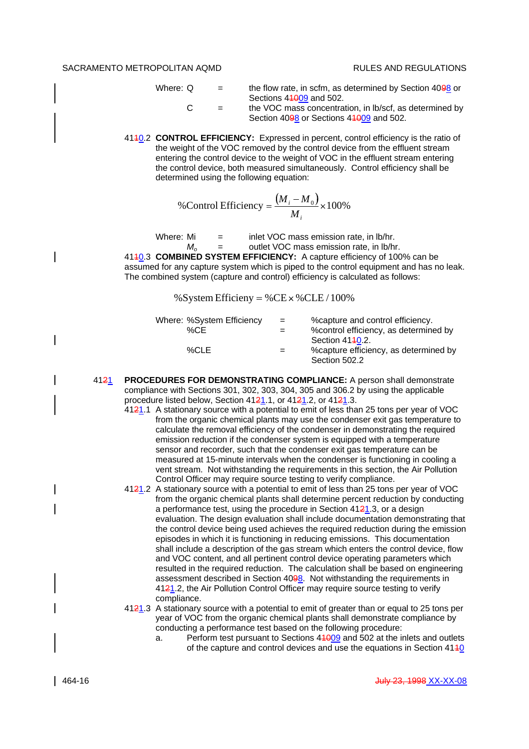- Where:  $Q =$  the flow rate, in scfm, as determined by Section 40 $\frac{98}{9}$  or Sections 44009 and 502.  $C =$  the VOC mass concentration, in lb/scf, as determined by Section 4098 or Sections 41009 and 502.
- 4140.2 **CONTROL EFFICIENCY:** Expressed in percent, control efficiency is the ratio of the weight of the VOC removed by the control device from the effluent stream entering the control device to the weight of VOC in the effluent stream entering the control device, both measured simultaneously. Control efficiency shall be determined using the following equation:

%Control Efficiency 
$$
=\frac{(M_i - M_0)}{M_i} \times 100\%
$$

Where: Mi  $=$  inlet VOC mass emission rate, in lb/hr. *M*<sub>o</sub> = outlet VOC mass emission rate, in lb/hr.

4110.3 **COMBINED SYSTEM EFFICIENCY:** A capture efficiency of 100% can be assumed for any capture system which is piped to the control equipment and has no leak. The combined system (capture and control) efficiency is calculated as follows:

% System Efficieny = % CE  $\times$  % CLE / 100%

| Where: %System Efficiency | $=$ | % capture and control efficiency.      |
|---------------------------|-----|----------------------------------------|
| $\%$ CE                   | $=$ | % control efficiency, as determined by |
|                           |     | Section 4140.2.                        |
| %CLE                      | $=$ | % capture efficiency, as determined by |
|                           |     | Section 502.2                          |

- 4121 **PROCEDURES FOR DEMONSTRATING COMPLIANCE:** A person shall demonstrate compliance with Sections 301, 302, 303, 304, 305 and 306.2 by using the applicable procedure listed below, Section  $4121.1$ , or  $4121.2$ , or  $4121.3$ .
	- 4121.1 A stationary source with a potential to emit of less than 25 tons per year of VOC from the organic chemical plants may use the condenser exit gas temperature to calculate the removal efficiency of the condenser in demonstrating the required emission reduction if the condenser system is equipped with a temperature sensor and recorder, such that the condenser exit gas temperature can be measured at 15-minute intervals when the condenser is functioning in cooling a vent stream. Not withstanding the requirements in this section, the Air Pollution Control Officer may require source testing to verify compliance.
	- 4121.2 A stationary source with a potential to emit of less than 25 tons per year of VOC from the organic chemical plants shall determine percent reduction by conducting a performance test, using the procedure in Section  $4121.3$ , or a design evaluation. The design evaluation shall include documentation demonstrating that the control device being used achieves the required reduction during the emission episodes in which it is functioning in reducing emissions. This documentation shall include a description of the gas stream which enters the control device, flow and VOC content, and all pertinent control device operating parameters which resulted in the required reduction. The calculation shall be based on engineering assessment described in Section 4098. Not withstanding the requirements in 4121.2, the Air Pollution Control Officer may require source testing to verify compliance.
	- 4121.3 A stationary source with a potential to emit of greater than or equal to 25 tons per year of VOC from the organic chemical plants shall demonstrate compliance by conducting a performance test based on the following procedure:
		- a. Perform test pursuant to Sections 41009 and 502 at the inlets and outlets of the capture and control devices and use the equations in Section  $4140$

 $\mathsf{l}$ 

 $\overline{\phantom{a}}$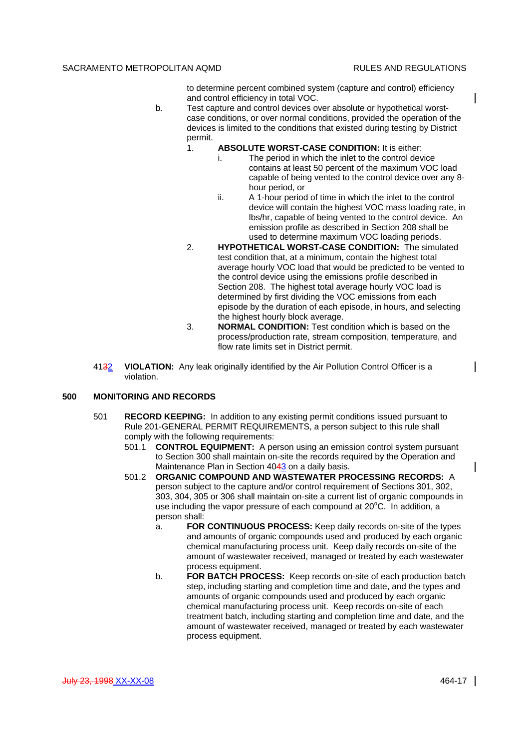to determine percent combined system (capture and control) efficiency and control efficiency in total VOC.

- b. Test capture and control devices over absolute or hypothetical worstcase conditions, or over normal conditions, provided the operation of the devices is limited to the conditions that existed during testing by District permit.
	- 1. **ABSOLUTE WORST-CASE CONDITION:** It is either:
		- i. The period in which the inlet to the control device contains at least 50 percent of the maximum VOC load capable of being vented to the control device over any 8 hour period, or
		- ii. A 1-hour period of time in which the inlet to the control device will contain the highest VOC mass loading rate, in lbs/hr, capable of being vented to the control device. An emission profile as described in Section 208 shall be used to determine maximum VOC loading periods.
	- 2. **HYPOTHETICAL WORST-CASE CONDITION:** The simulated test condition that, at a minimum, contain the highest total average hourly VOC load that would be predicted to be vented to the control device using the emissions profile described in Section 208. The highest total average hourly VOC load is determined by first dividing the VOC emissions from each episode by the duration of each episode, in hours, and selecting the highest hourly block average.
	- 3. **NORMAL CONDITION:** Test condition which is based on the process/production rate, stream composition, temperature, and flow rate limits set in District permit.
- 4132 **VIOLATION:** Any leak originally identified by the Air Pollution Control Officer is a violation.

## **500 MONITORING AND RECORDS**

- 501 **RECORD KEEPING:** In addition to any existing permit conditions issued pursuant to Rule 201-GENERAL PERMIT REQUIREMENTS, a person subject to this rule shall comply with the following requirements:
	- 501.1 **CONTROL EQUIPMENT:** A person using an emission control system pursuant to Section 300 shall maintain on-site the records required by the Operation and Maintenance Plan in Section 4043 on a daily basis.
	- 501.2 **ORGANIC COMPOUND AND WASTEWATER PROCESSING RECORDS:** A person subject to the capture and/or control requirement of Sections 301, 302, 303, 304, 305 or 306 shall maintain on-site a current list of organic compounds in use including the vapor pressure of each compound at  $20^{\circ}$ C. In addition, a person shall:
		- a. **FOR CONTINUOUS PROCESS:** Keep daily records on-site of the types and amounts of organic compounds used and produced by each organic chemical manufacturing process unit. Keep daily records on-site of the amount of wastewater received, managed or treated by each wastewater process equipment.
		- b. **FOR BATCH PROCESS:** Keep records on-site of each production batch step, including starting and completion time and date, and the types and amounts of organic compounds used and produced by each organic chemical manufacturing process unit. Keep records on-site of each treatment batch, including starting and completion time and date, and the amount of wastewater received, managed or treated by each wastewater process equipment.

 $\mathbf I$ 

 $\mathsf{l}$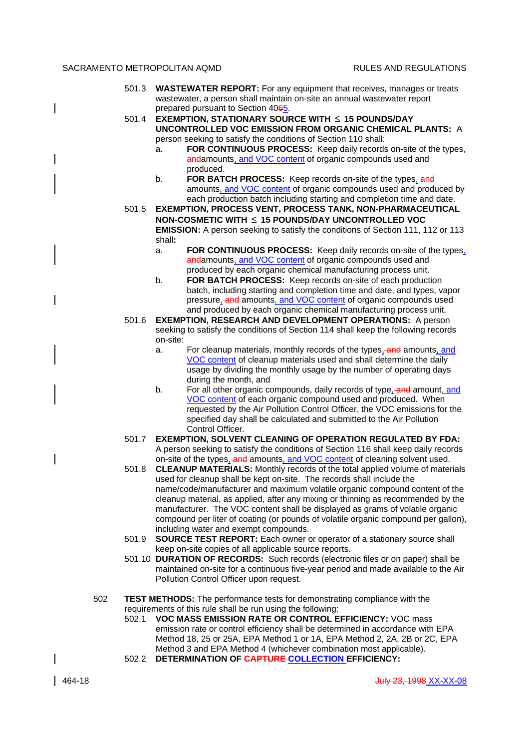- 501.3 **WASTEWATER REPORT:** For any equipment that receives, manages or treats wastewater, a person shall maintain on-site an annual wastewater report prepared pursuant to Section 4065.
- 501.4 **EXEMPTION, STATIONARY SOURCE WITH 15 POUNDS/DAY UNCONTROLLED VOC EMISSION FROM ORGANIC CHEMICAL PLANTS:** A person seeking to satisfy the conditions of Section 110 shall:
	- a. **FOR CONTINUOUS PROCESS:** Keep daily records on-site of the types, andamounts, and VOC content of organic compounds used and produced.
	- b. **FOR BATCH PROCESS:** Keep records on-site of the types, and amounts, and VOC content of organic compounds used and produced by each production batch including starting and completion time and date.
- 501.5 **EXEMPTION, PROCESS VENT, PROCESS TANK, NON-PHARMACEUTICAL NON-COSMETIC WITH 15 POUNDS/DAY UNCONTROLLED VOC EMISSION:** A person seeking to satisfy the conditions of Section 111, 112 or 113 shall**:**
	- a. **FOR CONTINUOUS PROCESS:** Keep daily records on-site of the types, andamounts, and VOC content of organic compounds used and produced by each organic chemical manufacturing process unit.
	- b. **FOR BATCH PROCESS:** Keep records on-site of each production batch, including starting and completion time and date, and types, vapor pressure, and amounts, and VOC content of organic compounds used and produced by each organic chemical manufacturing process unit.
- 501.6 **EXEMPTION, RESEARCH AND DEVELOPMENT OPERATIONS:** A person seeking to satisfy the conditions of Section 114 shall keep the following records on-site:
	- a. For cleanup materials, monthly records of the types, and amounts, and VOC content of cleanup materials used and shall determine the daily usage by dividing the monthly usage by the number of operating days during the month, and
	- b. For all other organic compounds, daily records of type. and amount, and VOC content of each organic compound used and produced. When requested by the Air Pollution Control Officer, the VOC emissions for the specified day shall be calculated and submitted to the Air Pollution Control Officer.
- 501.7 **EXEMPTION, SOLVENT CLEANING OF OPERATION REGULATED BY FDA:** A person seeking to satisfy the conditions of Section 116 shall keep daily records on-site of the types, and amounts, and VOC content of cleaning solvent used.
- 501.8 **CLEANUP MATERIALS:** Monthly records of the total applied volume of materials used for cleanup shall be kept on-site. The records shall include the name/code/manufacturer and maximum volatile organic compound content of the cleanup material, as applied, after any mixing or thinning as recommended by the manufacturer. The VOC content shall be displayed as grams of volatile organic compound per liter of coating (or pounds of volatile organic compound per gallon), including water and exempt compounds.
- 501.9 **SOURCE TEST REPORT:** Each owner or operator of a stationary source shall keep on-site copies of all applicable source reports.
- 501.10 **DURATION OF RECORDS:** Such records (electronic files or on paper) shall be maintained on-site for a continuous five-year period and made available to the Air Pollution Control Officer upon request.
- 502 **TEST METHODS:** The performance tests for demonstrating compliance with the requirements of this rule shall be run using the following:
	- 502.1 **VOC MASS EMISSION RATE OR CONTROL EFFICIENCY:** VOC mass emission rate or control efficiency shall be determined in accordance with EPA Method 18, 25 or 25A, EPA Method 1 or 1A, EPA Method 2, 2A, 2B or 2C, EPA Method 3 and EPA Method 4 (whichever combination most applicable).
	- 502.2 **DETERMINATION OF CAPTURE COLLECTION EFFICIENCY:**